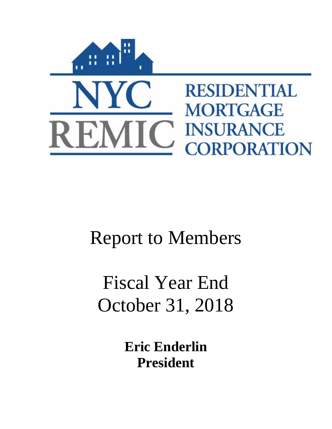

# Report to Members

# Fiscal Year End October 31, 2018

**Eric Enderlin President**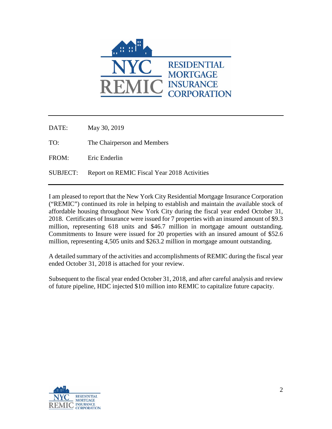

DATE: May 30, 2019 TO: The Chairperson and Members FROM: Eric Enderlin SUBJECT: Report on REMIC Fiscal Year 2018 Activities

I am pleased to report that the New York City Residential Mortgage Insurance Corporation ("REMIC") continued its role in helping to establish and maintain the available stock of affordable housing throughout New York City during the fiscal year ended October 31, 2018. Certificates of Insurance were issued for 7 properties with an insured amount of \$9.3 million, representing 618 units and \$46.7 million in mortgage amount outstanding. Commitments to Insure were issued for 20 properties with an insured amount of \$52.6 million, representing 4,505 units and \$263.2 million in mortgage amount outstanding.

A detailed summary of the activities and accomplishments of REMIC during the fiscal year ended October 31, 2018 is attached for your review.

Subsequent to the fiscal year ended October 31, 2018, and after careful analysis and review of future pipeline, HDC injected \$10 million into REMIC to capitalize future capacity.

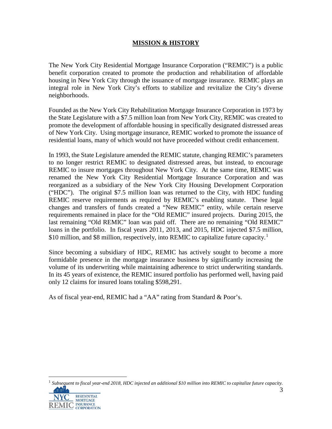## **MISSION & HISTORY**

The New York City Residential Mortgage Insurance Corporation ("REMIC") is a public benefit corporation created to promote the production and rehabilitation of affordable housing in New York City through the issuance of mortgage insurance. REMIC plays an integral role in New York City's efforts to stabilize and revitalize the City's diverse neighborhoods.

Founded as the New York City Rehabilitation Mortgage Insurance Corporation in 1973 by the State Legislature with a \$7.5 million loan from New York City, REMIC was created to promote the development of affordable housing in specifically designated distressed areas of New York City. Using mortgage insurance, REMIC worked to promote the issuance of residential loans, many of which would not have proceeded without credit enhancement.

In 1993, the State Legislature amended the REMIC statute, changing REMIC's parameters to no longer restrict REMIC to designated distressed areas, but instead, to encourage REMIC to insure mortgages throughout New York City. At the same time, REMIC was renamed the New York City Residential Mortgage Insurance Corporation and was reorganized as a subsidiary of the New York City Housing Development Corporation ("HDC"). The original \$7.5 million loan was returned to the City, with HDC funding REMIC reserve requirements as required by REMIC's enabling statute. These legal changes and transfers of funds created a "New REMIC" entity, while certain reserve requirements remained in place for the "Old REMIC" insured projects. During 2015, the last remaining "Old REMIC" loan was paid off. There are no remaining "Old REMIC" loans in the portfolio. In fiscal years 2011, 2013, and 2015, HDC injected \$7.5 million, \$[1](#page-2-0)0 million, and \$8 million, respectively, into REMIC to capitalize future capacity.<sup>1</sup>

Since becoming a subsidiary of HDC, REMIC has actively sought to become a more formidable presence in the mortgage insurance business by significantly increasing the volume of its underwriting while maintaining adherence to strict underwriting standards. In its 45 years of existence, the REMIC insured portfolio has performed well, having paid only 12 claims for insured loans totaling \$598,291.

As of fiscal year-end, REMIC had a "AA" rating from Standard & Poor's.

<span id="page-2-0"></span> 1 *Subsequent to fiscal year-end 2018, HDC injected an additional \$10 million into REMIC to capitalize future capacity.*aa l 3

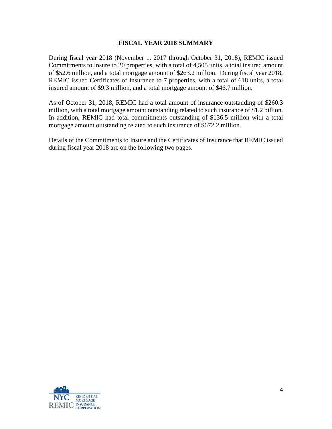#### **FISCAL YEAR 2018 SUMMARY**

During fiscal year 2018 (November 1, 2017 through October 31, 2018), REMIC issued Commitments to Insure to 20 properties, with a total of 4,505 units, a total insured amount of \$52.6 million, and a total mortgage amount of \$263.2 million. During fiscal year 2018, REMIC issued Certificates of Insurance to 7 properties, with a total of 618 units, a total insured amount of \$9.3 million, and a total mortgage amount of \$46.7 million.

As of October 31, 2018, REMIC had a total amount of insurance outstanding of \$260.3 million, with a total mortgage amount outstanding related to such insurance of \$1.2 billion. In addition, REMIC had total commitments outstanding of \$136.5 million with a total mortgage amount outstanding related to such insurance of \$672.2 million.

Details of the Commitments to Insure and the Certificates of Insurance that REMIC issued during fiscal year 2018 are on the following two pages.

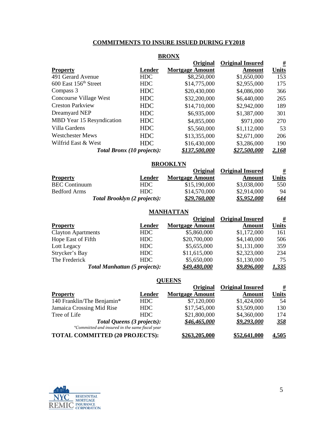### **COMMITMENTS TO INSURE ISSUED DURING FY2018**

|                                   |                                   | <b>DIAO1128</b>        |                         |              |
|-----------------------------------|-----------------------------------|------------------------|-------------------------|--------------|
|                                   |                                   | Original               | <b>Original Insured</b> | <u>#</u>     |
| <b>Property</b>                   | Lender                            | <b>Mortgage Amount</b> | Amount                  | <b>Units</b> |
| 491 Gerard Avenue                 | <b>HDC</b>                        | \$8,250,000            | \$1,650,000             | 153          |
| 600 East 156 <sup>th</sup> Street | HDC                               | \$14,775,000           | \$2,955,000             | 175          |
| Compass 3                         | <b>HDC</b>                        | \$20,430,000           | \$4,086,000             | 366          |
| Concourse Village West            | <b>HDC</b>                        | \$32,200,000           | \$6,440,000             | 265          |
| <b>Creston Parkview</b>           | <b>HDC</b>                        | \$14,710,000           | \$2,942,000             | 189          |
| Dreamyard NEP                     | <b>HDC</b>                        | \$6,935,000            | \$1,387,000             | 301          |
| MBD Year 15 Resyndication         | <b>HDC</b>                        | \$4,855,000            | \$971,000               | 270          |
| Villa Gardens                     | <b>HDC</b>                        | \$5,560,000            | \$1,112,000             | 53           |
| <b>Westchester Mews</b>           | <b>HDC</b>                        | \$13,355,000           | \$2,671,000             | 206          |
| Wilfrid East & West               | <b>HDC</b>                        | \$16,430,000           | \$3,286,000             | 190          |
|                                   | <b>Total Bronx (10 projects):</b> | \$137,500,000          | <u>\$27.500.000</u>     | <u>2,168</u> |

#### **BRONX**

#### **BROOKLYN**

|                      |                                     | Original               | <b>Original Insured</b> | <u>#</u>   |
|----------------------|-------------------------------------|------------------------|-------------------------|------------|
| <b>Property</b>      | Lender                              | <b>Mortgage Amount</b> | Amount                  | Units      |
| <b>BEC</b> Continuum | HDC                                 | \$15,190,000           | \$3,038,000             | 550        |
| Bedford Arms         | HDC.                                | \$14,570,000           | \$2,914,000             | 94         |
|                      | <b>Total Brooklyn (2 projects):</b> | \$29,760,000           | \$5,952,000             | <u>644</u> |

#### **MANHATTAN**

|                           |                                      | Original               | <b>Original Insured</b> | <u>#</u>     |
|---------------------------|--------------------------------------|------------------------|-------------------------|--------------|
| <b>Property</b>           | Lender                               | <b>Mortgage Amount</b> | <b>Amount</b>           | <b>Units</b> |
| <b>Clayton Apartments</b> | HDC                                  | \$5,860,000            | \$1,172,000             | 161          |
| Hope East of Fifth        | HDC                                  | \$20,700,000           | \$4,140,000             | 506          |
| Lott Legacy               | HDC                                  | \$5,655,000            | \$1,131,000             | 359          |
| Strycker's Bay            | HDC                                  | \$11,615,000           | \$2,323,000             | 234          |
| The Frederick             | HDC                                  | \$5,650,000            | \$1,130,000             | 75           |
|                           | <b>Total Manhattan (5 projects):</b> | \$49,480,000           | \$9,896,000             | <u>1,335</u> |

#### **QUEENS**

|                                                |        | Original               | <b>Original Insured</b> | <u>#</u>     |
|------------------------------------------------|--------|------------------------|-------------------------|--------------|
| <b>Property</b>                                | Lender | <b>Mortgage Amount</b> | <b>Amount</b>           | <b>Units</b> |
| 140 Franklin/The Benjamin*                     | HDC    | \$7,120,000            | \$1,424,000             | 54           |
| Jamaica Crossing Mid Rise                      | HDC    | \$17,545,000           | \$3,509,000             | 130          |
| Tree of Life                                   | HDC.   | \$21,800,000           | \$4,360,000             | 174          |
| <b>Total Queens (3 projects):</b>              |        | \$46.465.000           | \$9,293,000             | <u>358</u>   |
| *Committed and insured in the same fiscal year |        |                        |                         |              |
| <b>TOTAL COMMITTED (20 PROJECTS):</b>          |        | \$263,205,000          | \$52,641,000            | <u>4,505</u> |

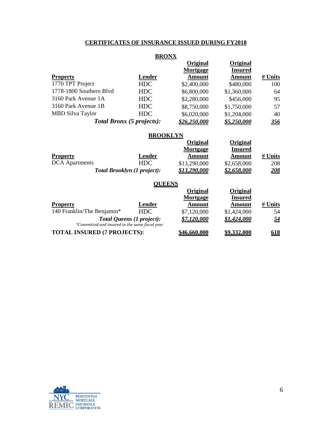## **CERTIFICATES OF INSURANCE ISSUED DURING FY2018**

#### **BRONX**

|                         |                                  | Original     | Original       |            |
|-------------------------|----------------------------------|--------------|----------------|------------|
|                         |                                  | Mortgage     | <b>Insured</b> |            |
| <b>Property</b>         | Lender                           | Amount       | Amount         | # Units    |
| 1770 TPT Project        | <b>HDC</b>                       | \$2,400,000  | \$480,000      | 100        |
| 1778-1800 Southern Blvd | <b>HDC</b>                       | \$6,800,000  | \$1,360,000    | 64         |
| 3160 Park Avenue 1A     | <b>HDC</b>                       | \$2,280,000  | \$456,000      | 95         |
| 3160 Park Avenue 1B     | <b>HDC</b>                       | \$8,750,000  | \$1,750,000    | 57         |
| <b>MBD Silva Taylor</b> | <b>HDC</b>                       | \$6,020,000  | \$1,204,000    | 40         |
|                         | <b>Total Bronx (5 projects):</b> | \$26,250,000 | \$5,250,000    | <u>356</u> |

#### **BROOKLYN**

|                                                |                                    | Original     | Original        |            |
|------------------------------------------------|------------------------------------|--------------|-----------------|------------|
|                                                |                                    | Mortgage     | <b>Insured</b>  |            |
| <b>Property</b>                                | Lender                             | Amount       | Amount          | # Units    |
| <b>DCA</b> Apartments                          | <b>HDC</b>                         | \$13,290,000 | \$2,658,000     | 208        |
|                                                | <b>Total Brooklyn (1 project):</b> | \$13,290,000 | \$2.658.000     | <b>208</b> |
|                                                | <b>OUEENS</b>                      |              |                 |            |
|                                                |                                    | Original     | <b>Original</b> |            |
|                                                |                                    | Mortgage     | <b>Insured</b>  |            |
| <b>Property</b>                                | Lender                             | Amount       | Amount          | # Units    |
| 140 Franklin/The Benjamin*                     | HDC                                | \$7,120,000  | \$1,424,000     | 54         |
|                                                | <b>Total Queens (1 project):</b>   | \$7.120.000  | \$1,424,000     | <u>54</u>  |
| *Committed and insured in the same fiscal year |                                    |              |                 |            |
| <b>TOTAL INSURED (7 PROJECTS):</b>             |                                    | \$46.660.000 | \$9,332,000     | <u>618</u> |

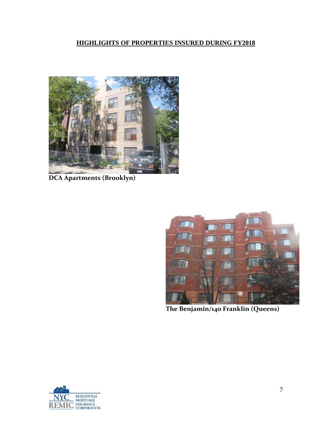# **HIGHLIGHTS OF PROPERTIES INSURED DURING FY2018**



**DCA Apartments (Brooklyn)**



**The Benjamin/140 Franklin (Queens)**

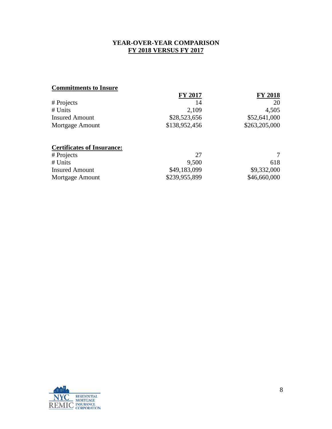## **YEAR-OVER-YEAR COMPARISON FY 2018 VERSUS FY 2017**

## **Commitments to Insure**

| <b>FY 2017</b> | <b>FY 2018</b> |
|----------------|----------------|
| 14             | 20             |
| 2.109          | 4,505          |
| \$28,523,656   | \$52,641,000   |
| \$138,952,456  | \$263,205,000  |
|                |                |

## **Certificates of Insurance:**

| # Projects            | 27            |              |
|-----------------------|---------------|--------------|
| $#$ Units             | 9.500         | 618          |
| <b>Insured Amount</b> | \$49,183,099  | \$9,332,000  |
| Mortgage Amount       | \$239,955,899 | \$46,660,000 |

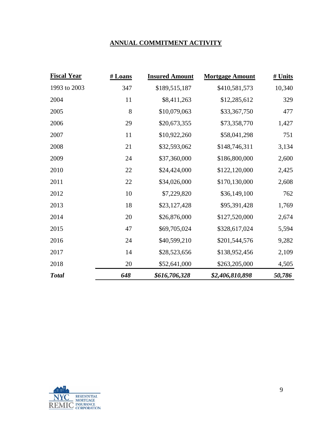## **ANNUAL COMMITMENT ACTIVITY**

| <b>Fiscal Year</b> | # Loans | <b>Insured Amount</b> | <b>Mortgage Amount</b> | # Units |
|--------------------|---------|-----------------------|------------------------|---------|
| 1993 to 2003       | 347     | \$189,515,187         | \$410,581,573          | 10,340  |
| 2004               | 11      | \$8,411,263           | \$12,285,612           | 329     |
| 2005               | 8       | \$10,079,063          | \$33,367,750           | 477     |
| 2006               | 29      | \$20,673,355          | \$73,358,770           | 1,427   |
| 2007               | 11      | \$10,922,260          | \$58,041,298           | 751     |
| 2008               | 21      | \$32,593,062          | \$148,746,311          | 3,134   |
| 2009               | 24      | \$37,360,000          | \$186,800,000          | 2,600   |
| 2010               | 22      | \$24,424,000          | \$122,120,000          | 2,425   |
| 2011               | 22      | \$34,026,000          | \$170,130,000          | 2,608   |
| 2012               | 10      | \$7,229,820           | \$36,149,100           | 762     |
| 2013               | 18      | \$23,127,428          | \$95,391,428           | 1,769   |
| 2014               | 20      | \$26,876,000          | \$127,520,000          | 2,674   |
| 2015               | 47      | \$69,705,024          | \$328,617,024          | 5,594   |
| 2016               | 24      | \$40,599,210          | \$201,544,576          | 9,282   |
| 2017               | 14      | \$28,523,656          | \$138,952,456          | 2,109   |
| 2018               | 20      | \$52,641,000          | \$263,205,000          | 4,505   |
| <b>Total</b>       | 648     | \$616,706,328         | \$2,406,810,898        | 50,786  |

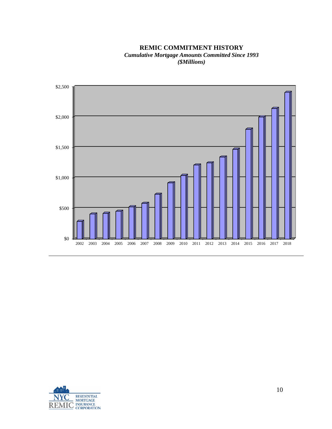**REMIC COMMITMENT HISTORY** *Cumulative Mortgage Amounts Committed Since 1993 (\$Millions)*



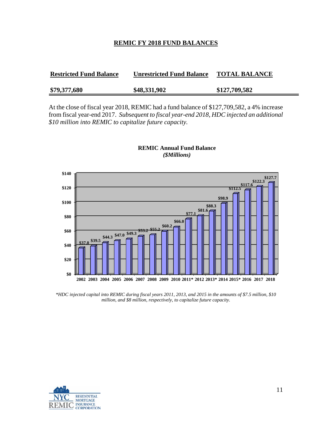#### **REMIC FY 2018 FUND BALANCES**

| <b>Restricted Fund Balance</b> | <b>Unrestricted Fund Balance</b> | <b>TOTAL BALANCE</b> |
|--------------------------------|----------------------------------|----------------------|
| \$79,377,680                   | \$48,331,902                     | \$127,709,582        |

At the close of fiscal year 2018, REMIC had a fund balance of \$127,709,582, a 4% increase from fiscal year-end 2017. *Subsequent to fiscal year-end 2018, HDC injected an additional \$10 million into REMIC to capitalize future capacity.*



**REMIC Annual Fund Balance** *(\$Millions)*

*\*HDC injected capital into REMIC during fiscal years 2011, 2013, and 2015 in the amounts of \$7.5 million, \$10 million, and \$8 million, respectively, to capitalize future capacity.*

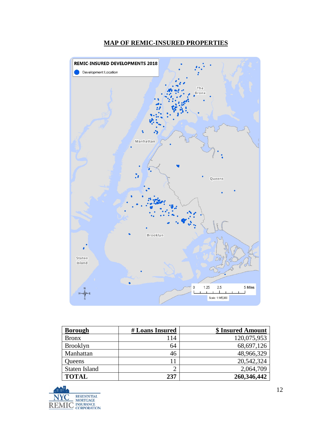

### **MAP OF REMIC-INSURED PROPERTIES**

| <b>Borough</b>  | # Loans Insured | \$ Insured Amount |
|-----------------|-----------------|-------------------|
| <b>Bronx</b>    | 114             | 120,075,953       |
| <b>Brooklyn</b> | 64              | 68,697,126        |
| Manhattan       | 46              | 48,966,329        |
| Queens          | 11              | 20,542,324        |
| Staten Island   |                 | 2,064,709         |
| <b>TOTAL</b>    | 237             | 260,346,442       |

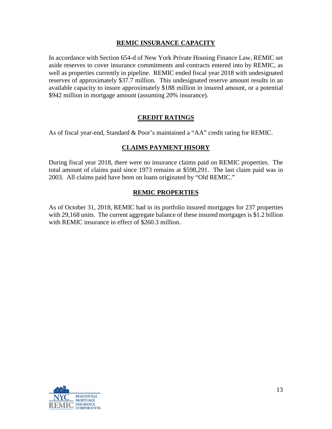### **REMIC INSURANCE CAPACITY**

In accordance with Section 654-d of New York Private Housing Finance Law, REMIC set aside reserves to cover insurance commitments and contracts entered into by REMIC, as well as properties currently in pipeline. REMIC ended fiscal year 2018 with undesignated reserves of approximately \$37.7 million. This undesignated reserve amount results in an available capacity to insure approximately \$188 million in insured amount, or a potential \$942 million in mortgage amount (assuming 20% insurance).

## **CREDIT RATINGS**

As of fiscal year-end, Standard & Poor's maintained a "AA" credit rating for REMIC.

## **CLAIMS PAYMENT HISORY**

During fiscal year 2018, there were no insurance claims paid on REMIC properties. The total amount of claims paid since 1973 remains at \$598,291. The last claim paid was in 2003. All claims paid have been on loans originated by "Old REMIC."

#### **REMIC PROPERTIES**

As of October 31, 2018, REMIC had in its portfolio insured mortgages for 237 properties with 29,168 units. The current aggregate balance of these insured mortgages is \$1.2 billion with REMIC insurance in effect of \$260.3 million.

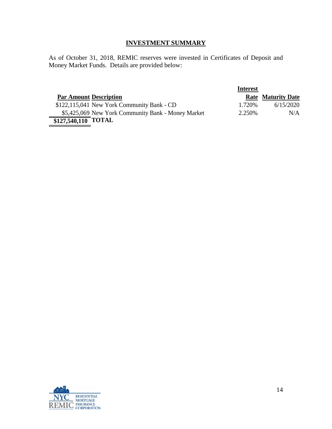## **INVESTMENT SUMMARY**

As of October 31, 2018, REMIC reserves were invested in Certificates of Deposit and Money Market Funds. Details are provided below:

|                               |                                                    | <b>Interest</b> |                           |
|-------------------------------|----------------------------------------------------|-----------------|---------------------------|
| <b>Par Amount Description</b> |                                                    |                 | <b>Rate Maturity Date</b> |
|                               | $$122,115,041$ New York Community Bank - CD        | 1.720\%         | 6/15/2020                 |
|                               | \$5,425,069 New York Community Bank - Money Market | 2.250\%         | N/A                       |
| \$127,540,110 TOTAL           |                                                    |                 |                           |

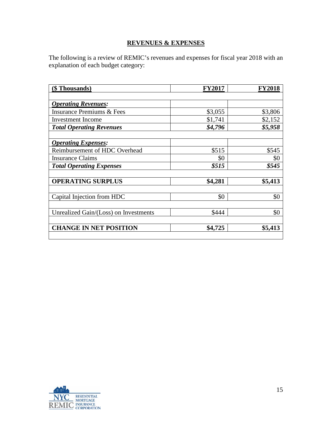## **REVENUES & EXPENSES**

The following is a review of REMIC's revenues and expenses for fiscal year 2018 with an explanation of each budget category:

| (\$Thousands)                         | <b>FY2017</b> | <b>FY2018</b> |
|---------------------------------------|---------------|---------------|
|                                       |               |               |
| <b>Operating Revenues:</b>            |               |               |
| <b>Insurance Premiums &amp; Fees</b>  | \$3,055       | \$3,806       |
| <b>Investment</b> Income              | \$1,741       | \$2,152       |
| <b>Total Operating Revenues</b>       | \$4,796       | \$5,958       |
|                                       |               |               |
| <b>Operating Expenses:</b>            |               |               |
| Reimbursement of HDC Overhead         | \$515         | \$545         |
| <b>Insurance Claims</b>               | \$0           | \$0           |
| <b>Total Operating Expenses</b>       | \$515         | \$545         |
|                                       |               |               |
| <b>OPERATING SURPLUS</b>              | \$4,281       | \$5,413       |
|                                       |               |               |
| Capital Injection from HDC            | \$0           | \$0           |
|                                       |               |               |
| Unrealized Gain/(Loss) on Investments | \$444         | \$0           |
|                                       |               |               |
| <b>CHANGE IN NET POSITION</b>         | \$4,725       | \$5,413       |
|                                       |               |               |